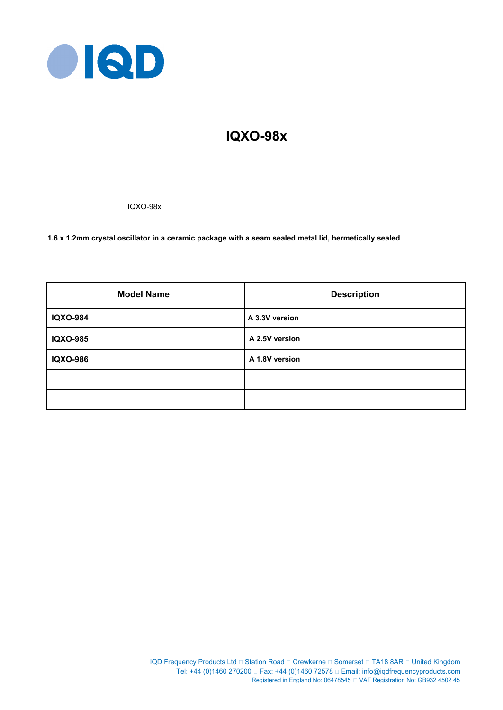

# **IQXO-98x**

IQXO-98x

**1.6 x 1.2mm crystal oscillator in a ceramic package with a seam sealed metal lid, hermetically sealed**

| <b>Model Name</b> | <b>Description</b> |
|-------------------|--------------------|
| <b>IQXO-984</b>   | A 3.3V version     |
| <b>IQXO-985</b>   | A 2.5V version     |
| <b>IQXO-986</b>   | A 1.8V version     |
|                   |                    |
|                   |                    |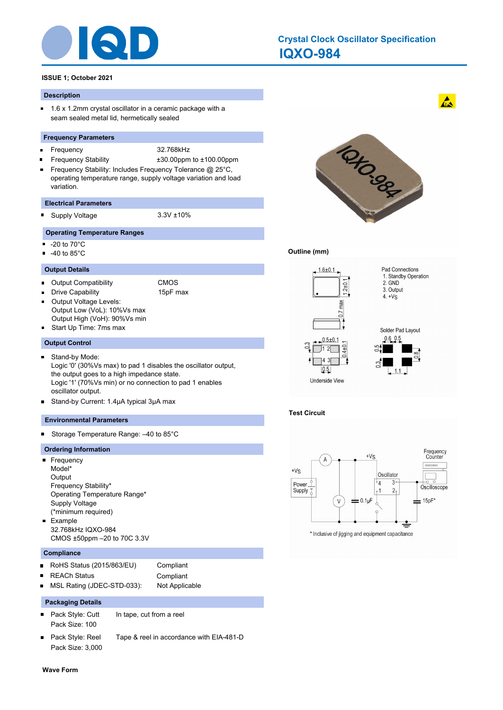

# **IQXO-984 Crystal Clock Oscillator Specification**

# **ISSUE 1; October 2021**

#### **Description**

 $\blacksquare$ 1.6 x 1.2mm crystal oscillator in a ceramic package with a seam sealed metal lid, hermetically sealed

#### **Frequency Parameters**

- $\blacksquare$
- Frequency 32.768kHz
- Frequency Stability ±30.00ppm to ±100.00ppm Frequency Stability: Includes Frequency Tolerance @ 25°C,  $\blacksquare$ operating temperature range, supply voltage variation and load variation.

#### **Electrical Parameters**

Supply Voltage 3.3V ±10%

#### **Operating Temperature Ranges**

- $-20$  to 70 $^{\circ}$ C
- $-40$  to 85 $^{\circ}$ C

#### **Output Details**

- Output Compatibility CMOS  $\blacksquare$
- $\blacksquare$
- Drive Capability 15pF max
	- Output Voltage Levels: Output Low (VoL): 10%Vs max Output High (VoH): 90%Vs min
- Start Up Time: 7ms max

#### **Output Control**

- Stand-by Mode:  $\blacksquare$ Logic '0' (30%Vs max) to pad 1 disables the oscillator output, the output goes to a high impedance state. Logic '1' (70%Vs min) or no connection to pad 1 enables oscillator output.
- $\blacksquare$ Stand-by Current: 1.4μA typical 3μA max

#### **Environmental Parameters**

Storage Temperature Range: –40 to 85°C  $\blacksquare$ 

#### **Ordering Information**

- **Frequency** Model\* **Output** Frequency Stability\* Operating Temperature Range\* Supply Voltage (\*minimum required) **Example** 32.768kHz IQXO-984
- CMOS ±50ppm –20 to 70C 3.3V

# **Compliance**

- RoHS Status (2015/863/EU) Compliant  $\blacksquare$ REACh Status **Compliant**  $\blacksquare$
- MSL Rating (JDEC-STD-033): Not Applicable

# **Packaging Details**

- $\blacksquare$ Pack Style: Cutt In tape, cut from a reel Pack Size: 100
- Pack Style: Reel Tape & reel in accordance with EIA-481-D Pack Size: 3,000



#### **Outline (mm)**



# **Test Circuit**



\* Inclusive of jigging and equipment capacitance

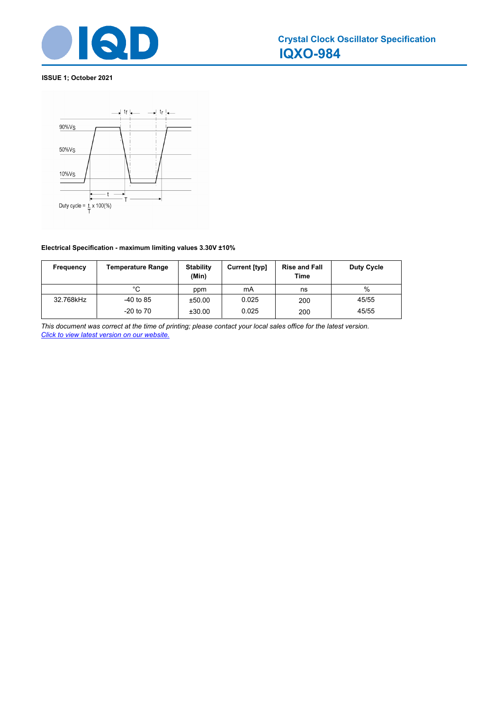

# **ISSUE 1; October 2021**



# **Electrical Specification - maximum limiting values 3.30V ±10%**

| Frequency | <b>Temperature Range</b> | <b>Stability</b><br>(Min) | Current [typ] | <b>Rise and Fall</b><br>Time | Duty Cycle |
|-----------|--------------------------|---------------------------|---------------|------------------------------|------------|
|           | °C                       | ppm                       | mA            | ns                           | %          |
| 32.768kHz | $-40$ to 85              | ±50.00                    | 0.025         | 200                          | 45/55      |
|           | $-20$ to $70$            | ±30.00                    | 0.025         | 200                          | 45/55      |

*This document was correct at the time of printing; please contact your local sales office for the latest version. Click to view latest version on our website.*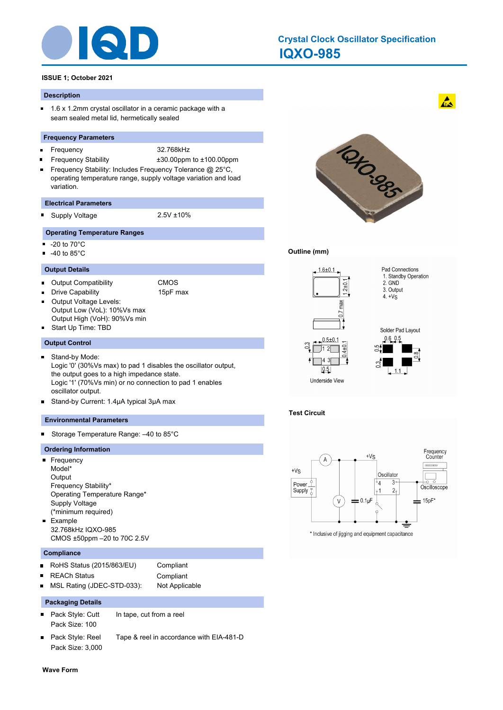

# **IQXO-985 Crystal Clock Oscillator Specification**

# **ISSUE 1; October 2021**

#### **Description**

 $\blacksquare$ 1.6 x 1.2mm crystal oscillator in a ceramic package with a seam sealed metal lid, hermetically sealed

#### **Frequency Parameters**

- $\blacksquare$
- Frequency 32.768kHz
- Frequency Stability ±30.00ppm to ±100.00ppm Frequency Stability: Includes Frequency Tolerance @ 25°C,  $\blacksquare$ operating temperature range, supply voltage variation and load variation.

#### **Electrical Parameters**

Supply Voltage 2.5V ±10%

#### **Operating Temperature Ranges**

- $-20$  to 70 $^{\circ}$ C
- $-40$  to 85 $^{\circ}$ C

#### **Output Details**

- Output Compatibility CMOS  $\blacksquare$
- $\blacksquare$
- Drive Capability 15pF max
	- Output Voltage Levels: Output Low (VoL): 10%Vs max
- Output High (VoH): 90%Vs min
- Start Up Time: TBD

#### **Output Control**

- Stand-by Mode:  $\blacksquare$ Logic '0' (30%Vs max) to pad 1 disables the oscillator output, the output goes to a high impedance state. Logic '1' (70%Vs min) or no connection to pad 1 enables oscillator output.
- $\blacksquare$ Stand-by Current: 1.4μA typical 3μA max

#### **Environmental Parameters**

Storage Temperature Range: –40 to 85°C  $\blacksquare$ 

#### **Ordering Information**

- **Frequency** Model\* **Output** Frequency Stability\* Operating Temperature Range\* Supply Voltage (\*minimum required) **Example** 32.768kHz IQXO-985
- CMOS ±50ppm –20 to 70C 2.5V

# **Compliance**

- RoHS Status (2015/863/EU) Compliant  $\blacksquare$ REACh Status **Compliant**  $\blacksquare$
- MSL Rating (JDEC-STD-033): Not Applicable

# **Packaging Details**

- $\blacksquare$ Pack Style: Cutt In tape, cut from a reel Pack Size: 100
- Pack Style: Reel Tape & reel in accordance with EIA-481-D Pack Size: 3,000



#### **Outline (mm)**



# **Test Circuit**



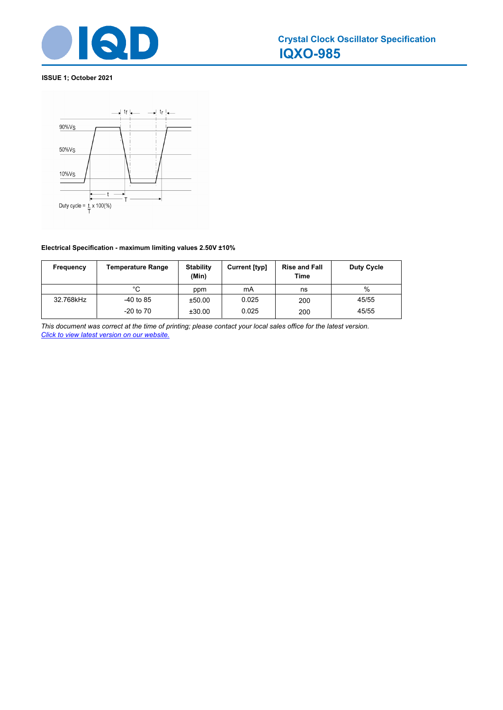

# **ISSUE 1; October 2021**



# **Electrical Specification - maximum limiting values 2.50V ±10%**

| Frequency | <b>Temperature Range</b> | <b>Stability</b><br>(Min) | Current [typ] | <b>Rise and Fall</b><br>Time | Duty Cycle |
|-----------|--------------------------|---------------------------|---------------|------------------------------|------------|
|           | °C                       | ppm                       | mA            | ns                           | %          |
| 32.768kHz | $-40$ to 85              | ±50.00                    | 0.025         | 200                          | 45/55      |
|           | $-20$ to $70$            | ±30.00                    | 0.025         | 200                          | 45/55      |

*This document was correct at the time of printing; please contact your local sales office for the latest version. Click to view latest version on our website.*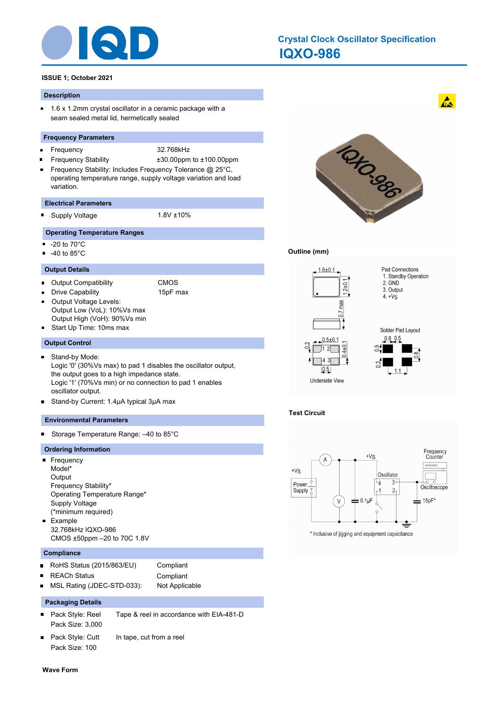

# **IQXO-986 Crystal Clock Oscillator Specification**

# **ISSUE 1; October 2021**

#### **Description**

 $\blacksquare$ 1.6 x 1.2mm crystal oscillator in a ceramic package with a seam sealed metal lid, hermetically sealed

#### **Frequency Parameters**

- $\blacksquare$ 
	- Frequency 32.768kHz
- Frequency Stability ±30.00ppm to ±100.00ppm Frequency Stability: Includes Frequency Tolerance @ 25°C,  $\blacksquare$ operating temperature range, supply voltage variation and load variation.

#### **Electrical Parameters**

Supply Voltage 1.8V ±10%

#### **Operating Temperature Ranges**

- $-20$  to 70 $^{\circ}$ C
- $-40$  to 85 $^{\circ}$ C

#### **Output Details**

- Output Compatibility CMOS  $\blacksquare$
- $\blacksquare$
- Drive Capability 15pF max
	- Output Voltage Levels: Output Low (VoL): 10%Vs max
- Output High (VoH): 90%Vs min
- Start Up Time: 10ms max

# **Output Control**

- Stand-by Mode:  $\blacksquare$ Logic '0' (30%Vs max) to pad 1 disables the oscillator output, the output goes to a high impedance state. Logic '1' (70%Vs min) or no connection to pad 1 enables oscillator output.
- $\blacksquare$ Stand-by Current: 1.4μA typical 3μA max

#### **Environmental Parameters**

Storage Temperature Range: –40 to 85°C  $\blacksquare$ 

#### **Ordering Information**

- **Frequency** Model\* **Output** Frequency Stability\* Operating Temperature Range\* Supply Voltage (\*minimum required) **Example** 32.768kHz IQXO-986
- CMOS ±50ppm –20 to 70C 1.8V

# **Compliance**

RoHS Status (2015/863/EU) Compliant  $\blacksquare$ REACh Status **Compliant**  $\blacksquare$ MSL Rating (JDEC-STD-033): Not Applicable

#### **Packaging Details**

- $\blacksquare$ Pack Style: Reel Tape & reel in accordance with EIA-481-D Pack Size: 3,000
- Pack Style: Cutt In tape, cut from a reel Pack Size: 100
- **Wave Form**



#### **Outline (mm)**



# **Test Circuit**



\* Inclusive of jigging and equipment capacitance